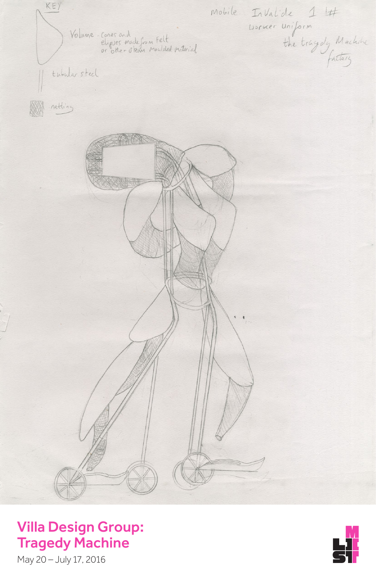KEY mobile InValide 14<br>Usiner uniform<br>the tragedy Machine Volume-cones and<br>eligses made from Felt<br>or other otean monided naterial tubular steel netting  $\frac{1}{\sqrt{2\pi}}$ 



Villa Design Group: Tragedy Machine

May 20 – July 17, 2016

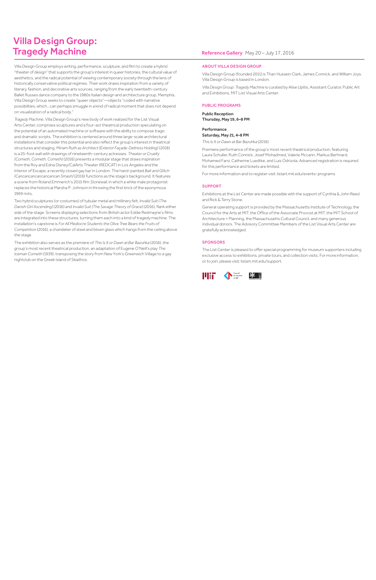# Villa Design Group: Tragedy Machine

Villa Design Group employs writing, performance, sculpture, and film to create a hybrid "theater of design" that supports the group's interest in queer histories, the cultural value of aesthetics, and the radical potential of viewing contemporary society through the lens of historically conservative political regimes. Their work draws inspiration from a variety of literary, fashion, and decorative arts sources, ranging from the early twentieth-century Ballet Russes dance company to the 1980s Italian design and architecture group, Memphis. Villa Design Group seeks to create "queer objects"—objects "coded with narrative possibilities, which…can perhaps smuggle in a kind of radical moment that does not depend on visualization of a radical body."

*Tragedy Machine*, Villa Design Group's new body of work realized for the List Visual Arts Center, comprises sculptures and a four-act theatrical production speculating on the potential of an automated machine or software with the ability to compose tragic and dramatic scripts. The exhibition is centered around three large-scale architectural installations that consider this potential and also reflect the group's interest in theatrical structures and staging. *Miriam Ruth as Architect (Exterior Façade: Deltress Holding)* (2016) is a 25-foot wall with drawings of nineteenth-century actresses. *Theater or Cruelty (Cometh, Cometh, Cometh)* (2016) presents a modular stage that draws inspiration from the Roy and Edna Disney/CalArts Theater (REDCAT) in Los Angeles and the interior of Escape, a recently closed gay bar in London. The hand-painted *Bait and Glitch (Cancancancancancancan Smash)* (2016) functions as the stage's background. It features a scene from Roland Emmerich's 2015 film *Stonewall*, in which a white male protagonist replaces the historical Marsha P. Johnson in throwing the first brick of the eponymous 1969 riots.

Public Reception Thursday, May 19, 6-8 PM

Two hybrid sculptures (or costumes) of tubular metal and millinery felt, *Invalid Suit (The Danish Girl Ascending)* (2016) and *Invalid Suit (The Savage Theory of Grace)* (2016), flank either side of the stage. Screens displaying selections from British actor Eddie Redmayne's films are integrated into these structures, turning them each into a kind of tragedy machine. The installation's capstone is *For All Mediocre Students the Olive Tree Bears the Fruits of Competition* (2016), a chandelier of steel and blown glass which hangs from the ceiling above the stage.

The exhibition also serves as the premiere of *This Is It or Dawn at Bar Bazuhka* (2016), the group's most recent theatrical production, an adaptation of Eugene O'Neill's play *The Iceman Cometh* (1939), transposing the story from New York's Greenwich Village to a gay nightclub on the Greek Island of Skiathos.

### Reference Gallery May 20 - July 17, 2016

#### ABOUT VILLA DESIGN GROUP

Villa Design Group (founded 2011) is Than Hussein Clark, James Connick, and William Joys. Villa Design Group is based in London.

*Villa Design Group: Tragedy Machine* is curated by Alise Upitis, Assistant Curator, Public Art and Exhibitions, MIT List Visual Arts Center.

#### PUBLIC PROGRAMS

#### Performance

Saturday, May 21, 4–8 PM

*This Is It or Dawn at Bar Bazuhka* (2016)

Premiere performance of the group's most recent theatrical production, featuring Laura Schuller, Ruth Connick, Josef Mohadmed, Valerie Mccann, Markus Berhnard, Mohamed Farsi, Catherine Luedtke, and Luis Odrizola. Advanced registration is required for this performance and tickets are limited.

For more information and to register visit: listart.mit.edu/events-programs

#### SUPPORT

Exhibitions at the List Center are made possible with the support of Cynthia & John Reed and Rick & Terry Stone.

General operating support is provided by the Massachusetts Institute of Technology, the Council for the Arts at MIT, the Office of the Associate Provost at MIT, the MIT School of Architecture + Planning, the Massachusetts Cultural Council, and many generous individual donors. The Advisory Committee Members of the List Visual Arts Center are gratefully acknowledged.

#### **SPONSORS**

The List Center is pleased to offer special programming for museum supporters including exclusive access to exhibitions, private tours, and collection visits. For more information, or to join, please visit: listart.mit.edu/support.